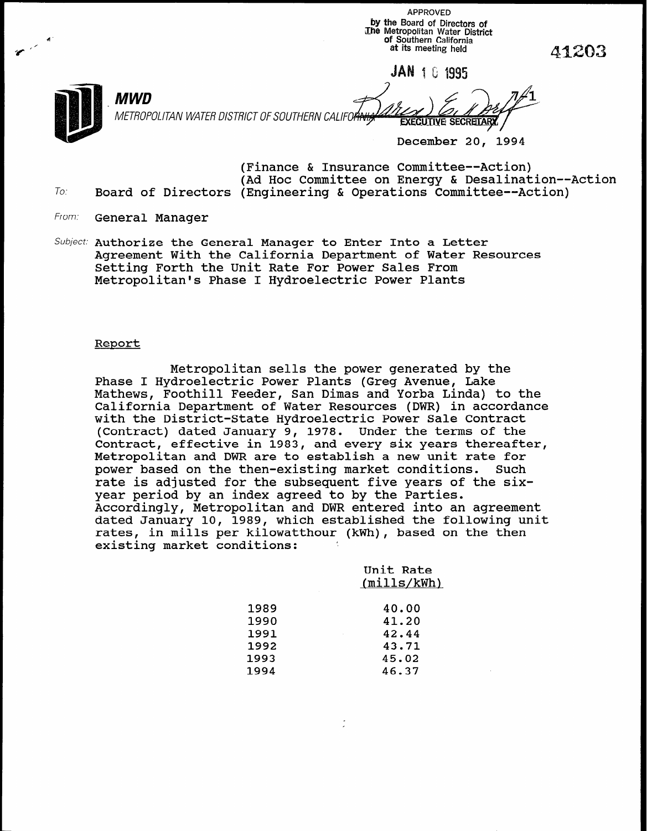APPROVED by the Board of Directors of The Metropolitan Water District به السلطة التي تعليم المستخدم التي تعليم المستخدم التي تعليم التي تعليم التي ت<br>Of Southern California "3" IX at its meeting held 4Gm3120

**JAN 1 8 1995** 

METROPOLITAN WATER DISTRICT OF SOUTHERN CALIFO

\ /

December 20, 1994

(Finance & Insurance Committee--Action) (Ad Hoc Committee on Energy & Desalination--Action  $To:$  Board of Directors (Engineering & Operations Committee--Action)

From: General Manager

\_ MWD

Subject: Authorize the General Manager to Enter Into a Letter Agreement With the California Department of Water Resources Setting Forth the Unit Rate For Power Sales From Metropolitan's Phase I Hydroelectric Power Plants

## Report

Metropolitan sells the power generated by the Phase I Hydroelectric Power Plants (Greg Avenue, Lake Mathews, Foothill Feeder, San Dimas and Yorba Linda) to the California Department of Water Resources (DWR) in accordance with the District-State Hydroelectric Power Sale Contract (Contract) dated January 9, 1978. Under the terms of the Contract, effective in 1983, and every six years thereafter, Metropolitan and DWR are to establish a new unit rate for power based on the then-existing market conditions. Such rate is adjusted for the subsequent five years of the sixyear period by an index agreed to by the Parties. Accordingly, Metropolitan and DWR entered into an agreement dated January 10, 1989, which established the following unit rates, in mills per kilowatthour (kWh), based on the then existing market conditions:

> Unit Rate (mills/kWh)

| 1989 | 40.00 |
|------|-------|
| 1990 | 41.20 |
| 1991 | 42.44 |
| 1992 | 43.71 |
| 1993 | 45.02 |
| 1994 | 46.37 |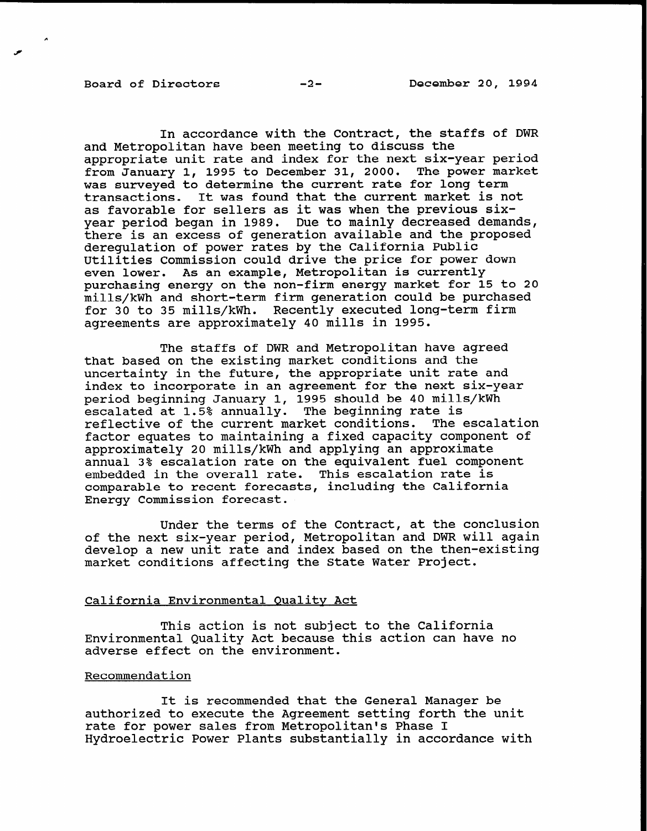In accordance with the Contract, the staffs of DWR and Metropolitan have been meeting to discuss the appropriate unit rate and index for the next six-year period from January 1, 1995 to December 31, 2000. The power market was surveyed to determine the current rate for long term transactions. It was found that the current market is not as favorable for sellers as it was when the previous sixyear period began in 1989. Due to mainly decreased demands, there is an excess of generation available and the proposed deregulation of power rates by the California Public Utilities Commission could drive the price for power down even lower. As an example, Metropolitan is currently purchasing energy on the non-firm energy market for 15 to 20 mills/kWh and short-term firm generation could be purchased for 30 to 35 mills/kWh. Recently executed long-term firm agreements are approximately 40 mills in 1995.

The staffs of DWR and Metropolitan have agreed that based on the existing market conditions and the uncertainty in the future, the appropriate unit rate and index to incorporate in an agreement for the next six-year period beginning January 1, 1995 should be 40 mills/kWh escalated at 1.5% annually. The beginning rate is reflective of the current market conditions. The escalation factor equates to maintaining a fixed capacity component of approximately 20 mills/kWh and applying an approximate annual 3% escalation rate on the equivalent fuel component embedded in the overall rate. This escalation rate is comparable to recent forecasts, including the California Energy Commission forecast.

Under the terms of the Contract, at the conclusion of the next six-year period, Metropolitan and DWR will agaim develop a new unit rate and index based on the then-exist market conditions affecting the State Water Project.

## California Environmental Qualitv Act

This action is not subject to the California Environmental Quality Act because this action can have no adverse effect on the environment.

## Recommendation

It is recommended that the General Manager be authorized to execute the Agreement setting forth the unit rate for power sales from Metropolitan's Phase I Hydroelectric Power Plants substantially in accordance with